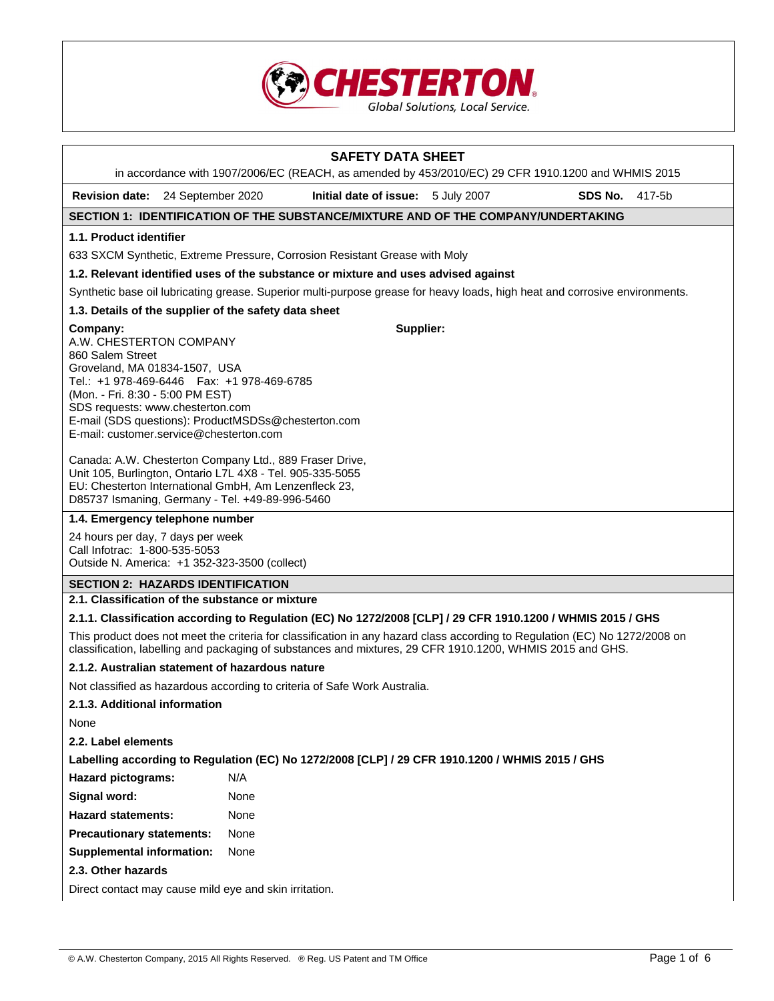

# **SAFETY DATA SHEET**

in accordance with 1907/2006/EC (REACH, as amended by 453/2010/EC) 29 CFR 1910.1200 and WHMIS 2015

**Revision date:** 24 September 2020 **Initial date of issue:** 5 July 2007 **SDS No.** 417-5b

**Supplier:**

# **SECTION 1: IDENTIFICATION OF THE SUBSTANCE/MIXTURE AND OF THE COMPANY/UNDERTAKING**

### **1.1. Product identifier**

633 SXCM Synthetic, Extreme Pressure, Corrosion Resistant Grease with Moly

#### **1.2. Relevant identified uses of the substance or mixture and uses advised against**

Synthetic base oil lubricating grease. Superior multi-purpose grease for heavy loads, high heat and corrosive environments.

# **1.3. Details of the supplier of the safety data sheet**

**Company:**

A.W. CHESTERTON COMPANY 860 Salem Street Groveland, MA 01834-1507, USA Tel.: +1 978-469-6446 Fax: +1 978-469-6785 (Mon. - Fri. 8:30 - 5:00 PM EST) SDS requests: www.chesterton.com E-mail (SDS questions): ProductMSDSs@chesterton.com E-mail: customer.service@chesterton.com

Canada: A.W. Chesterton Company Ltd., 889 Fraser Drive, Unit 105, Burlington, Ontario L7L 4X8 - Tel. 905-335-5055 EU: Chesterton International GmbH, Am Lenzenfleck 23, D85737 Ismaning, Germany - Tel. +49-89-996-5460

# **1.4. Emergency telephone number**

24 hours per day, 7 days per week Call Infotrac: 1-800-535-5053 Outside N. America: +1 352-323-3500 (collect)

## **SECTION 2: HAZARDS IDENTIFICATION**

## **2.1. Classification of the substance or mixture**

## **2.1.1. Classification according to Regulation (EC) No 1272/2008 [CLP] / 29 CFR 1910.1200 / WHMIS 2015 / GHS**

This product does not meet the criteria for classification in any hazard class according to Regulation (EC) No 1272/2008 on classification, labelling and packaging of substances and mixtures, 29 CFR 1910.1200, WHMIS 2015 and GHS.

# **2.1.2. Australian statement of hazardous nature**

Not classified as hazardous according to criteria of Safe Work Australia.

### **2.1.3. Additional information**

None

# **2.2. Label elements**

**Labelling according to Regulation (EC) No 1272/2008 [CLP] / 29 CFR 1910.1200 / WHMIS 2015 / GHS** 

|  | <b>Hazard pictograms:</b> | N/A |
|--|---------------------------|-----|
|--|---------------------------|-----|

| Signal word: | None |
|--------------|------|
|--------------|------|

**Hazard statements:** None

**Precautionary statements:** None

**Supplemental information:** None

## **2.3. Other hazards**

Direct contact may cause mild eye and skin irritation.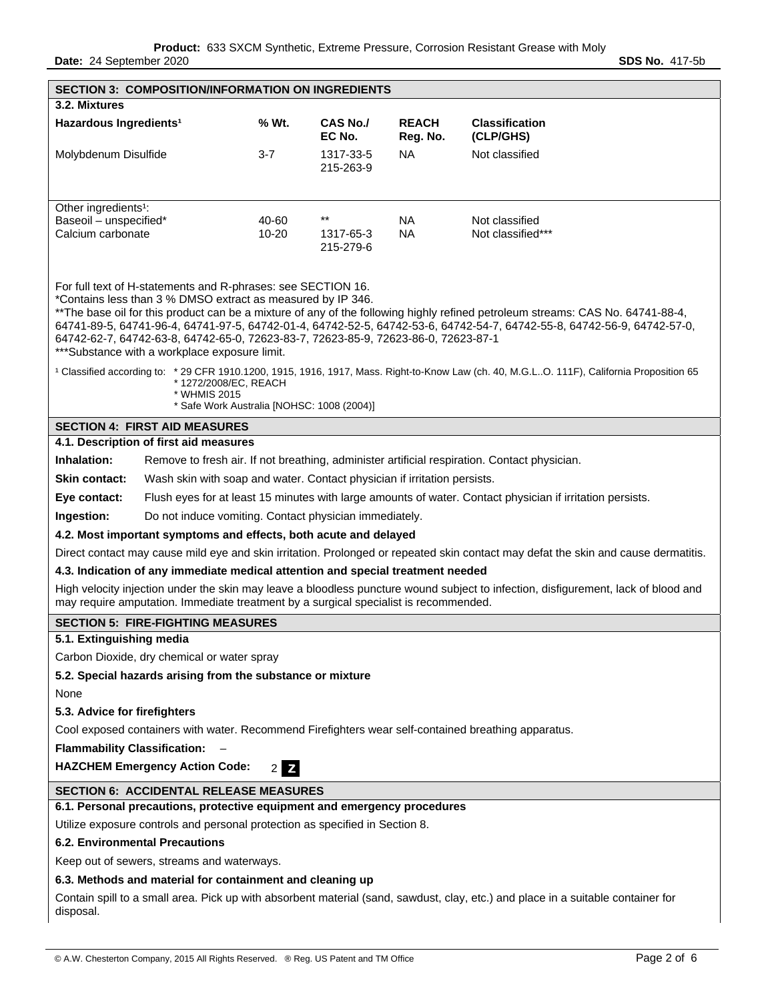**Date:** 24 September 2020 **SDS No. 417-5b** 

| <b>SECTION 3: COMPOSITION/INFORMATION ON INGREDIENTS</b>                                                                                                                                                                                                                                                                                                                                                                                                                                                                                                                                                                                                                                                                           |                                                                                                                                                                                                                            |                                                          |                          |                                                                                                                                    |  |  |
|------------------------------------------------------------------------------------------------------------------------------------------------------------------------------------------------------------------------------------------------------------------------------------------------------------------------------------------------------------------------------------------------------------------------------------------------------------------------------------------------------------------------------------------------------------------------------------------------------------------------------------------------------------------------------------------------------------------------------------|----------------------------------------------------------------------------------------------------------------------------------------------------------------------------------------------------------------------------|----------------------------------------------------------|--------------------------|------------------------------------------------------------------------------------------------------------------------------------|--|--|
| 3.2. Mixtures                                                                                                                                                                                                                                                                                                                                                                                                                                                                                                                                                                                                                                                                                                                      |                                                                                                                                                                                                                            |                                                          |                          |                                                                                                                                    |  |  |
| Hazardous Ingredients <sup>1</sup>                                                                                                                                                                                                                                                                                                                                                                                                                                                                                                                                                                                                                                                                                                 | % Wt.                                                                                                                                                                                                                      | <b>CAS No./</b><br>EC No.                                | <b>REACH</b><br>Reg. No. | <b>Classification</b><br>(CLP/GHS)                                                                                                 |  |  |
| Molybdenum Disulfide                                                                                                                                                                                                                                                                                                                                                                                                                                                                                                                                                                                                                                                                                                               | $3 - 7$                                                                                                                                                                                                                    | 1317-33-5<br>215-263-9                                   | NA.                      | Not classified                                                                                                                     |  |  |
| Other ingredients <sup>1</sup> :                                                                                                                                                                                                                                                                                                                                                                                                                                                                                                                                                                                                                                                                                                   |                                                                                                                                                                                                                            |                                                          |                          |                                                                                                                                    |  |  |
| Baseoil - unspecified*                                                                                                                                                                                                                                                                                                                                                                                                                                                                                                                                                                                                                                                                                                             | 40-60                                                                                                                                                                                                                      | $\star\star$<br>NA<br>Not classified                     |                          |                                                                                                                                    |  |  |
| Calcium carbonate                                                                                                                                                                                                                                                                                                                                                                                                                                                                                                                                                                                                                                                                                                                  | 10-20                                                                                                                                                                                                                      | <b>NA</b><br>Not classified***<br>1317-65-3<br>215-279-6 |                          |                                                                                                                                    |  |  |
| For full text of H-statements and R-phrases: see SECTION 16.<br>*Contains less than 3 % DMSO extract as measured by IP 346.<br>** The base oil for this product can be a mixture of any of the following highly refined petroleum streams: CAS No. 64741-88-4,<br>64741-89-5, 64741-96-4, 64741-97-5, 64742-01-4, 64742-52-5, 64742-53-6, 64742-54-7, 64742-55-8, 64742-56-9, 64742-57-0,<br>64742-62-7, 64742-63-8, 64742-65-0, 72623-83-7, 72623-85-9, 72623-86-0, 72623-87-1<br>*** Substance with a workplace exposure limit.<br><sup>1</sup> Classified according to: * 29 CFR 1910.1200, 1915, 1916, 1917, Mass. Right-to-Know Law (ch. 40, M.G.LO. 111F), California Proposition 65<br>*1272/2008/EC, REACH<br>* WHMIS 2015 |                                                                                                                                                                                                                            |                                                          |                          |                                                                                                                                    |  |  |
| * Safe Work Australia [NOHSC: 1008 (2004)]                                                                                                                                                                                                                                                                                                                                                                                                                                                                                                                                                                                                                                                                                         |                                                                                                                                                                                                                            |                                                          |                          |                                                                                                                                    |  |  |
| <b>SECTION 4: FIRST AID MEASURES</b><br>4.1. Description of first aid measures                                                                                                                                                                                                                                                                                                                                                                                                                                                                                                                                                                                                                                                     |                                                                                                                                                                                                                            |                                                          |                          |                                                                                                                                    |  |  |
|                                                                                                                                                                                                                                                                                                                                                                                                                                                                                                                                                                                                                                                                                                                                    |                                                                                                                                                                                                                            |                                                          |                          |                                                                                                                                    |  |  |
| Inhalation:                                                                                                                                                                                                                                                                                                                                                                                                                                                                                                                                                                                                                                                                                                                        |                                                                                                                                                                                                                            |                                                          |                          | Remove to fresh air. If not breathing, administer artificial respiration. Contact physician.                                       |  |  |
| Skin contact:<br>Wash skin with soap and water. Contact physician if irritation persists.                                                                                                                                                                                                                                                                                                                                                                                                                                                                                                                                                                                                                                          |                                                                                                                                                                                                                            |                                                          |                          |                                                                                                                                    |  |  |
| Eye contact:                                                                                                                                                                                                                                                                                                                                                                                                                                                                                                                                                                                                                                                                                                                       |                                                                                                                                                                                                                            |                                                          |                          | Flush eyes for at least 15 minutes with large amounts of water. Contact physician if irritation persists.                          |  |  |
|                                                                                                                                                                                                                                                                                                                                                                                                                                                                                                                                                                                                                                                                                                                                    | Do not induce vomiting. Contact physician immediately.<br>Ingestion:                                                                                                                                                       |                                                          |                          |                                                                                                                                    |  |  |
|                                                                                                                                                                                                                                                                                                                                                                                                                                                                                                                                                                                                                                                                                                                                    | 4.2. Most important symptoms and effects, both acute and delayed                                                                                                                                                           |                                                          |                          |                                                                                                                                    |  |  |
|                                                                                                                                                                                                                                                                                                                                                                                                                                                                                                                                                                                                                                                                                                                                    |                                                                                                                                                                                                                            |                                                          |                          | Direct contact may cause mild eye and skin irritation. Prolonged or repeated skin contact may defat the skin and cause dermatitis. |  |  |
| 4.3. Indication of any immediate medical attention and special treatment needed                                                                                                                                                                                                                                                                                                                                                                                                                                                                                                                                                                                                                                                    |                                                                                                                                                                                                                            |                                                          |                          |                                                                                                                                    |  |  |
|                                                                                                                                                                                                                                                                                                                                                                                                                                                                                                                                                                                                                                                                                                                                    | High velocity injection under the skin may leave a bloodless puncture wound subject to infection, disfigurement, lack of blood and<br>may require amputation. Immediate treatment by a surgical specialist is recommended. |                                                          |                          |                                                                                                                                    |  |  |
| <b>SECTION 5: FIRE-FIGHTING MEASURES</b>                                                                                                                                                                                                                                                                                                                                                                                                                                                                                                                                                                                                                                                                                           |                                                                                                                                                                                                                            |                                                          |                          |                                                                                                                                    |  |  |
| 5.1. Extinguishing media                                                                                                                                                                                                                                                                                                                                                                                                                                                                                                                                                                                                                                                                                                           |                                                                                                                                                                                                                            |                                                          |                          |                                                                                                                                    |  |  |
| Carbon Dioxide, dry chemical or water spray                                                                                                                                                                                                                                                                                                                                                                                                                                                                                                                                                                                                                                                                                        |                                                                                                                                                                                                                            |                                                          |                          |                                                                                                                                    |  |  |
| 5.2. Special hazards arising from the substance or mixture                                                                                                                                                                                                                                                                                                                                                                                                                                                                                                                                                                                                                                                                         |                                                                                                                                                                                                                            |                                                          |                          |                                                                                                                                    |  |  |
| None                                                                                                                                                                                                                                                                                                                                                                                                                                                                                                                                                                                                                                                                                                                               |                                                                                                                                                                                                                            |                                                          |                          |                                                                                                                                    |  |  |
| 5.3. Advice for firefighters                                                                                                                                                                                                                                                                                                                                                                                                                                                                                                                                                                                                                                                                                                       |                                                                                                                                                                                                                            |                                                          |                          |                                                                                                                                    |  |  |
| Cool exposed containers with water. Recommend Firefighters wear self-contained breathing apparatus.                                                                                                                                                                                                                                                                                                                                                                                                                                                                                                                                                                                                                                |                                                                                                                                                                                                                            |                                                          |                          |                                                                                                                                    |  |  |
| <b>Flammability Classification:</b>                                                                                                                                                                                                                                                                                                                                                                                                                                                                                                                                                                                                                                                                                                |                                                                                                                                                                                                                            |                                                          |                          |                                                                                                                                    |  |  |
| <b>HAZCHEM Emergency Action Code:</b><br>$\mathbf{z}$<br>2 <sub>1</sub>                                                                                                                                                                                                                                                                                                                                                                                                                                                                                                                                                                                                                                                            |                                                                                                                                                                                                                            |                                                          |                          |                                                                                                                                    |  |  |
| <b>SECTION 6: ACCIDENTAL RELEASE MEASURES</b>                                                                                                                                                                                                                                                                                                                                                                                                                                                                                                                                                                                                                                                                                      |                                                                                                                                                                                                                            |                                                          |                          |                                                                                                                                    |  |  |
| 6.1. Personal precautions, protective equipment and emergency procedures                                                                                                                                                                                                                                                                                                                                                                                                                                                                                                                                                                                                                                                           |                                                                                                                                                                                                                            |                                                          |                          |                                                                                                                                    |  |  |
| Utilize exposure controls and personal protection as specified in Section 8.                                                                                                                                                                                                                                                                                                                                                                                                                                                                                                                                                                                                                                                       |                                                                                                                                                                                                                            |                                                          |                          |                                                                                                                                    |  |  |
| <b>6.2. Environmental Precautions</b>                                                                                                                                                                                                                                                                                                                                                                                                                                                                                                                                                                                                                                                                                              |                                                                                                                                                                                                                            |                                                          |                          |                                                                                                                                    |  |  |
| Keep out of sewers, streams and waterways.                                                                                                                                                                                                                                                                                                                                                                                                                                                                                                                                                                                                                                                                                         |                                                                                                                                                                                                                            |                                                          |                          |                                                                                                                                    |  |  |
| 6.3. Methods and material for containment and cleaning up                                                                                                                                                                                                                                                                                                                                                                                                                                                                                                                                                                                                                                                                          |                                                                                                                                                                                                                            |                                                          |                          |                                                                                                                                    |  |  |
| Contain spill to a small area. Pick up with absorbent material (sand, sawdust, clay, etc.) and place in a suitable container for<br>disposal.                                                                                                                                                                                                                                                                                                                                                                                                                                                                                                                                                                                      |                                                                                                                                                                                                                            |                                                          |                          |                                                                                                                                    |  |  |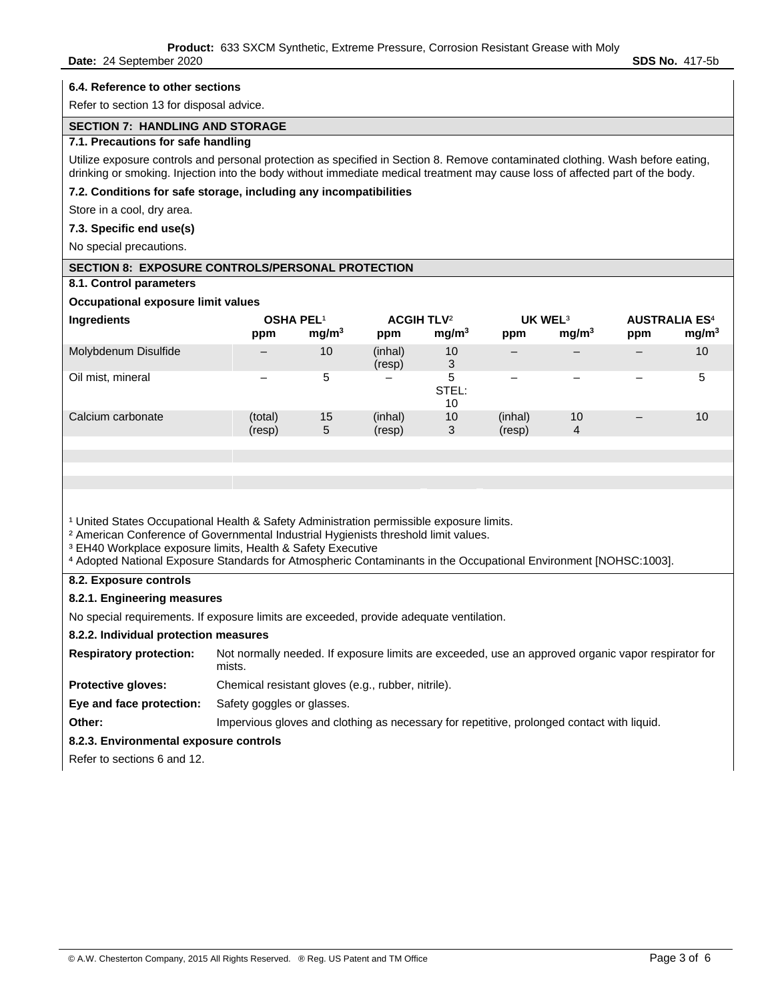#### **6.4. Reference to other sections**

Refer to section 13 for disposal advice.

## **SECTION 7: HANDLING AND STORAGE**

#### **7.1. Precautions for safe handling**

Utilize exposure controls and personal protection as specified in Section 8. Remove contaminated clothing. Wash before eating, drinking or smoking. Injection into the body without immediate medical treatment may cause loss of affected part of the body.

#### **7.2. Conditions for safe storage, including any incompatibilities**

Store in a cool, dry area.

### **7.3. Specific end use(s)**

No special precautions.

## **SECTION 8: EXPOSURE CONTROLS/PERSONAL PROTECTION**

**8.1. Control parameters** 

## **Occupational exposure limit values**

| Ingredients          | OSHA PEL <sup>1</sup><br>ppm | mg/m <sup>3</sup> | <b>ACGIH TLV<sup>2</sup></b><br>ppm | mg/m <sup>3</sup> | UK WEL <sup>3</sup><br>ppm | mg/m <sup>3</sup> | <b>AUSTRALIA ES<sup>4</sup></b><br>ppm | mg/m <sup>3</sup> |
|----------------------|------------------------------|-------------------|-------------------------------------|-------------------|----------------------------|-------------------|----------------------------------------|-------------------|
| Molybdenum Disulfide |                              | 10                | (inhal)<br>(resp)                   | 10<br>3           | $\overline{\phantom{0}}$   |                   |                                        | 10                |
| Oil mist, mineral    |                              | 5                 | $\qquad \qquad -$                   | 5<br>STEL:<br>10  |                            |                   |                                        | 5                 |
| Calcium carbonate    | (total)<br>(resp)            | 15<br>5           | (inhal)<br>(resp)                   | 10<br>3           | (inhal)<br>(resp)          | 10<br>4           | $\qquad \qquad$                        | 10                |

<sup>1</sup> United States Occupational Health & Safety Administration permissible exposure limits.

<sup>2</sup> American Conference of Governmental Industrial Hygienists threshold limit values.

<sup>3</sup> EH40 Workplace exposure limits, Health & Safety Executive

⁴ Adopted National Exposure Standards for Atmospheric Contaminants in the Occupational Environment [NOHSC:1003].

# **8.2. Exposure controls**

#### **8.2.1. Engineering measures**

No special requirements. If exposure limits are exceeded, provide adequate ventilation.

#### **8.2.2. Individual protection measures**

**Respiratory protection:** Not normally needed. If exposure limits are exceeded, use an approved organic vapor respirator for mists.

**Protective gloves:** Chemical resistant gloves (e.g., rubber, nitrile).

**Eye and face protection:** Safety goggles or glasses.

**Other:** Impervious gloves and clothing as necessary for repetitive, prolonged contact with liquid.

## **8.2.3. Environmental exposure controls**

Refer to sections 6 and 12.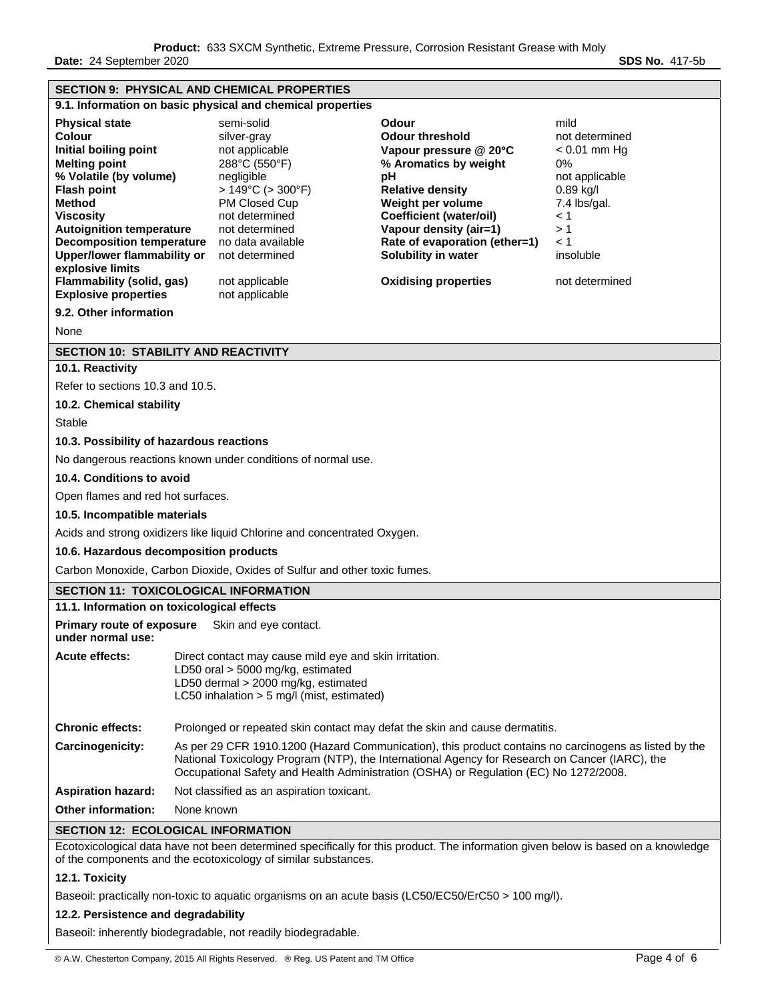| <b>SECTION 9: PHYSICAL AND CHEMICAL PROPERTIES</b>                                                                                                                                                                                                                                                                                                                                                  |                                                                                                                                                                                                                                                                                                  |                                                                                                                                                                                                                                                    |                                                                                                                                                                                                                                                                                      |                                                                                                                                                              |  |  |
|-----------------------------------------------------------------------------------------------------------------------------------------------------------------------------------------------------------------------------------------------------------------------------------------------------------------------------------------------------------------------------------------------------|--------------------------------------------------------------------------------------------------------------------------------------------------------------------------------------------------------------------------------------------------------------------------------------------------|----------------------------------------------------------------------------------------------------------------------------------------------------------------------------------------------------------------------------------------------------|--------------------------------------------------------------------------------------------------------------------------------------------------------------------------------------------------------------------------------------------------------------------------------------|--------------------------------------------------------------------------------------------------------------------------------------------------------------|--|--|
| 9.1. Information on basic physical and chemical properties                                                                                                                                                                                                                                                                                                                                          |                                                                                                                                                                                                                                                                                                  |                                                                                                                                                                                                                                                    |                                                                                                                                                                                                                                                                                      |                                                                                                                                                              |  |  |
| <b>Physical state</b><br><b>Colour</b><br>Initial boiling point<br><b>Melting point</b><br>% Volatile (by volume)<br><b>Flash point</b><br>Method<br><b>Viscosity</b><br><b>Autoignition temperature</b><br><b>Decomposition temperature</b><br><b>Upper/lower flammability or</b><br>explosive limits<br><b>Flammability (solid, gas)</b><br><b>Explosive properties</b><br>9.2. Other information |                                                                                                                                                                                                                                                                                                  | semi-solid<br>silver-gray<br>not applicable<br>288°C (550°F)<br>negligible<br>$>149^{\circ}$ C ( $>300^{\circ}$ F)<br>PM Closed Cup<br>not determined<br>not determined<br>no data available<br>not determined<br>not applicable<br>not applicable | Odour<br>Odour threshold<br>Vapour pressure @ 20°C<br>% Aromatics by weight<br>рH<br><b>Relative density</b><br>Weight per volume<br><b>Coefficient (water/oil)</b><br>Vapour density (air=1)<br>Rate of evaporation (ether=1)<br>Solubility in water<br><b>Oxidising properties</b> | mild<br>not determined<br>$< 0.01$ mm Hg<br>0%<br>not applicable<br>$0.89$ kg/l<br>7.4 lbs/gal.<br>$\leq 1$<br>>1<br>$\leq 1$<br>insoluble<br>not determined |  |  |
| None                                                                                                                                                                                                                                                                                                                                                                                                |                                                                                                                                                                                                                                                                                                  |                                                                                                                                                                                                                                                    |                                                                                                                                                                                                                                                                                      |                                                                                                                                                              |  |  |
| <b>SECTION 10: STABILITY AND REACTIVITY</b>                                                                                                                                                                                                                                                                                                                                                         |                                                                                                                                                                                                                                                                                                  |                                                                                                                                                                                                                                                    |                                                                                                                                                                                                                                                                                      |                                                                                                                                                              |  |  |
| 10.1. Reactivity                                                                                                                                                                                                                                                                                                                                                                                    |                                                                                                                                                                                                                                                                                                  |                                                                                                                                                                                                                                                    |                                                                                                                                                                                                                                                                                      |                                                                                                                                                              |  |  |
| Refer to sections 10.3 and 10.5.                                                                                                                                                                                                                                                                                                                                                                    |                                                                                                                                                                                                                                                                                                  |                                                                                                                                                                                                                                                    |                                                                                                                                                                                                                                                                                      |                                                                                                                                                              |  |  |
| 10.2. Chemical stability                                                                                                                                                                                                                                                                                                                                                                            |                                                                                                                                                                                                                                                                                                  |                                                                                                                                                                                                                                                    |                                                                                                                                                                                                                                                                                      |                                                                                                                                                              |  |  |
| Stable                                                                                                                                                                                                                                                                                                                                                                                              |                                                                                                                                                                                                                                                                                                  |                                                                                                                                                                                                                                                    |                                                                                                                                                                                                                                                                                      |                                                                                                                                                              |  |  |
| 10.3. Possibility of hazardous reactions                                                                                                                                                                                                                                                                                                                                                            |                                                                                                                                                                                                                                                                                                  |                                                                                                                                                                                                                                                    |                                                                                                                                                                                                                                                                                      |                                                                                                                                                              |  |  |
|                                                                                                                                                                                                                                                                                                                                                                                                     |                                                                                                                                                                                                                                                                                                  | No dangerous reactions known under conditions of normal use.                                                                                                                                                                                       |                                                                                                                                                                                                                                                                                      |                                                                                                                                                              |  |  |
| 10.4. Conditions to avoid                                                                                                                                                                                                                                                                                                                                                                           |                                                                                                                                                                                                                                                                                                  |                                                                                                                                                                                                                                                    |                                                                                                                                                                                                                                                                                      |                                                                                                                                                              |  |  |
| Open flames and red hot surfaces.                                                                                                                                                                                                                                                                                                                                                                   |                                                                                                                                                                                                                                                                                                  |                                                                                                                                                                                                                                                    |                                                                                                                                                                                                                                                                                      |                                                                                                                                                              |  |  |
| 10.5. Incompatible materials                                                                                                                                                                                                                                                                                                                                                                        |                                                                                                                                                                                                                                                                                                  |                                                                                                                                                                                                                                                    |                                                                                                                                                                                                                                                                                      |                                                                                                                                                              |  |  |
| Acids and strong oxidizers like liquid Chlorine and concentrated Oxygen.                                                                                                                                                                                                                                                                                                                            |                                                                                                                                                                                                                                                                                                  |                                                                                                                                                                                                                                                    |                                                                                                                                                                                                                                                                                      |                                                                                                                                                              |  |  |
| 10.6. Hazardous decomposition products                                                                                                                                                                                                                                                                                                                                                              |                                                                                                                                                                                                                                                                                                  |                                                                                                                                                                                                                                                    |                                                                                                                                                                                                                                                                                      |                                                                                                                                                              |  |  |
|                                                                                                                                                                                                                                                                                                                                                                                                     | Carbon Monoxide, Carbon Dioxide, Oxides of Sulfur and other toxic fumes.                                                                                                                                                                                                                         |                                                                                                                                                                                                                                                    |                                                                                                                                                                                                                                                                                      |                                                                                                                                                              |  |  |
| <b>SECTION 11: TOXICOLOGICAL INFORMATION</b>                                                                                                                                                                                                                                                                                                                                                        |                                                                                                                                                                                                                                                                                                  |                                                                                                                                                                                                                                                    |                                                                                                                                                                                                                                                                                      |                                                                                                                                                              |  |  |
| 11.1. Information on toxicological effects                                                                                                                                                                                                                                                                                                                                                          |                                                                                                                                                                                                                                                                                                  |                                                                                                                                                                                                                                                    |                                                                                                                                                                                                                                                                                      |                                                                                                                                                              |  |  |
| <b>Primary route of exposure</b><br>under normal use:                                                                                                                                                                                                                                                                                                                                               |                                                                                                                                                                                                                                                                                                  | Skin and eye contact.                                                                                                                                                                                                                              |                                                                                                                                                                                                                                                                                      |                                                                                                                                                              |  |  |
| <b>Acute effects:</b>                                                                                                                                                                                                                                                                                                                                                                               | Direct contact may cause mild eye and skin irritation.<br>LD50 oral > 5000 mg/kg, estimated<br>LD50 dermal > 2000 mg/kg, estimated<br>LC50 inhalation > 5 mg/l (mist, estimated)                                                                                                                 |                                                                                                                                                                                                                                                    |                                                                                                                                                                                                                                                                                      |                                                                                                                                                              |  |  |
| <b>Chronic effects:</b>                                                                                                                                                                                                                                                                                                                                                                             | Prolonged or repeated skin contact may defat the skin and cause dermatitis.                                                                                                                                                                                                                      |                                                                                                                                                                                                                                                    |                                                                                                                                                                                                                                                                                      |                                                                                                                                                              |  |  |
| Carcinogenicity:                                                                                                                                                                                                                                                                                                                                                                                    | As per 29 CFR 1910.1200 (Hazard Communication), this product contains no carcinogens as listed by the<br>National Toxicology Program (NTP), the International Agency for Research on Cancer (IARC), the<br>Occupational Safety and Health Administration (OSHA) or Regulation (EC) No 1272/2008. |                                                                                                                                                                                                                                                    |                                                                                                                                                                                                                                                                                      |                                                                                                                                                              |  |  |
| <b>Aspiration hazard:</b>                                                                                                                                                                                                                                                                                                                                                                           | Not classified as an aspiration toxicant.                                                                                                                                                                                                                                                        |                                                                                                                                                                                                                                                    |                                                                                                                                                                                                                                                                                      |                                                                                                                                                              |  |  |
| <b>Other information:</b>                                                                                                                                                                                                                                                                                                                                                                           | None known                                                                                                                                                                                                                                                                                       |                                                                                                                                                                                                                                                    |                                                                                                                                                                                                                                                                                      |                                                                                                                                                              |  |  |
| <b>SECTION 12: ECOLOGICAL INFORMATION</b>                                                                                                                                                                                                                                                                                                                                                           |                                                                                                                                                                                                                                                                                                  |                                                                                                                                                                                                                                                    |                                                                                                                                                                                                                                                                                      |                                                                                                                                                              |  |  |
| Ecotoxicological data have not been determined specifically for this product. The information given below is based on a knowledge<br>of the components and the ecotoxicology of similar substances.                                                                                                                                                                                                 |                                                                                                                                                                                                                                                                                                  |                                                                                                                                                                                                                                                    |                                                                                                                                                                                                                                                                                      |                                                                                                                                                              |  |  |
| 12.1. Toxicity                                                                                                                                                                                                                                                                                                                                                                                      |                                                                                                                                                                                                                                                                                                  |                                                                                                                                                                                                                                                    |                                                                                                                                                                                                                                                                                      |                                                                                                                                                              |  |  |
| Baseoil: practically non-toxic to aquatic organisms on an acute basis (LC50/EC50/ErC50 > 100 mg/l).                                                                                                                                                                                                                                                                                                 |                                                                                                                                                                                                                                                                                                  |                                                                                                                                                                                                                                                    |                                                                                                                                                                                                                                                                                      |                                                                                                                                                              |  |  |
| 12.2. Persistence and degradability                                                                                                                                                                                                                                                                                                                                                                 |                                                                                                                                                                                                                                                                                                  |                                                                                                                                                                                                                                                    |                                                                                                                                                                                                                                                                                      |                                                                                                                                                              |  |  |

Baseoil: inherently biodegradable, not readily biodegradable.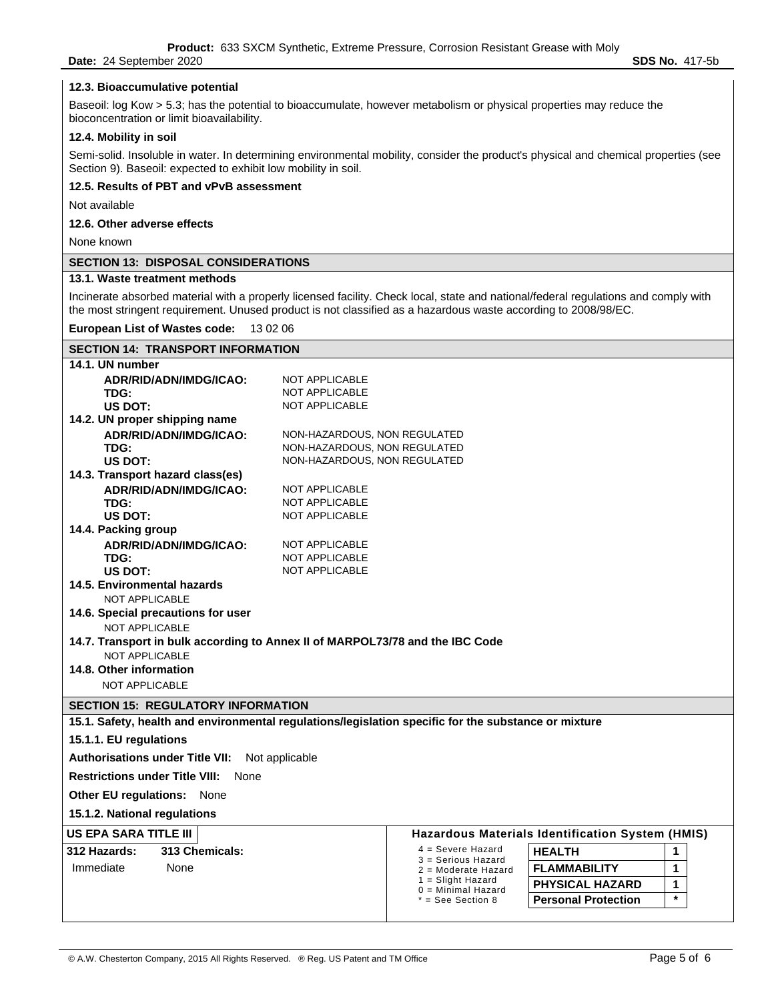**Date:** 24 September 2020 **SDS No.** 417-5b

#### **12.3. Bioaccumulative potential**

Baseoil: log Kow > 5.3; has the potential to bioaccumulate, however metabolism or physical properties may reduce the bioconcentration or limit bioavailability.

### **12.4. Mobility in soil**

Semi-solid. Insoluble in water. In determining environmental mobility, consider the product's physical and chemical properties (see Section 9). Baseoil: expected to exhibit low mobility in soil.

#### **12.5. Results of PBT and vPvB assessment**

Not available

#### **12.6. Other adverse effects**

None known

## **SECTION 13: DISPOSAL CONSIDERATIONS**

#### **13.1. Waste treatment methods**

Incinerate absorbed material with a properly licensed facility. Check local, state and national/federal regulations and comply with the most stringent requirement. Unused product is not classified as a hazardous waste according to 2008/98/EC.

#### **European List of Wastes code:** 13 02 06

## **SECTION 14: TRANSPORT INFORMATION 14.1. UN number ADR/RID/ADN/IMDG/ICAO:** NOT APPLICABLE **TDG:** NOT APPLICABLE US DOT: NOT APPLICABLE **14.2. UN proper shipping name ADR/RID/ADN/IMDG/ICAO:** NON-HAZARDOUS, NON REGULATED **TDG:** NON-HAZARDOUS, NON REGULATED US DOT: NON-HAZARDOUS, NON REGULATED **14.3. Transport hazard class(es) ADR/RID/ADN/IMDG/ICAO:** NOT APPLICABLE **TDG:** NOT APPLICABLE **US DOT:** NOT APPLICABLE **14.4. Packing group ADR/RID/ADN/IMDG/ICAO:** NOT APPLICABLE **TDG:** NOT APPLICABLE US DOT: NOT APPLICABLE **14.5. Environmental hazards**  NOT APPLICABLE **14.6. Special precautions for user**  NOT APPLICABLE **14.7. Transport in bulk according to Annex II of MARPOL73/78 and the IBC Code**  NOT APPLICABLE **14.8. Other information**  NOT APPLICABLE **SECTION 15: REGULATORY INFORMATION 15.1. Safety, health and environmental regulations/legislation specific for the substance or mixture 15.1.1. EU regulations Authorisations under Title VII:** Not applicable **Restrictions under Title VIII:** None **Other EU regulations:** None **15.1.2. National regulations US EPA SARA TITLE III Hazardous Materials Identification System (HMIS) 312 Hazards: 313 Chemicals:** 4 = Severe Hazard 3 = Serious Hazard 2 = Moderate Hazard Immediate None **FLAMMABILITY 1**  1 = Slight Hazard 0 = Minimal Hazard \* = See Section 8 **HEALTH 1 PHYSICAL HAZARD** | 1 **Personal Protection \***